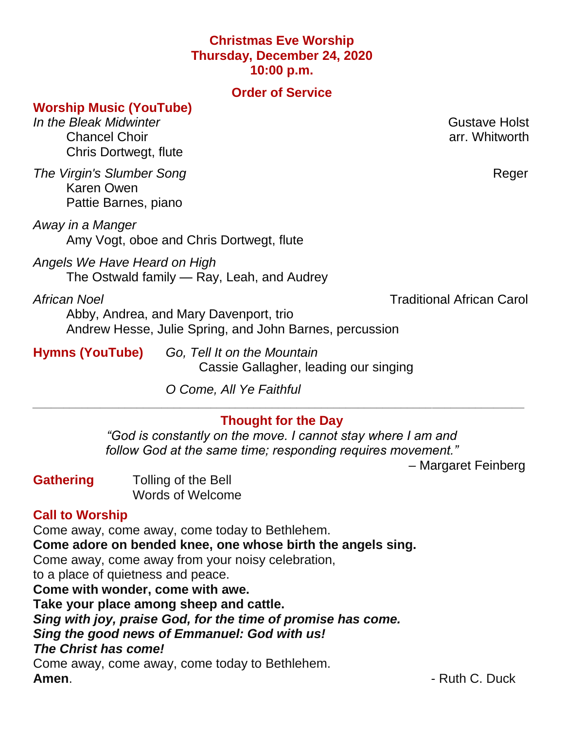### **Christmas Eve Worship Thursday, December 24, 2020 10:00 p.m.**

#### **Order of Service**

#### **Worship Music (YouTube)**

*In the Bleak Midwinter* **Gustave Holst** Chancel Choir **Chancel Choir Chancel Choir Chancel Choir Acts Chancel Choir Chancel Choir Chancel Choir Chancel Choir Chancel Choir Chancel Choir Chancel Choir Chancel Choir Chancel Choir Chancel** Chris Dortwegt, flute

**The Virgin's Slumber Song** *Reger* **Reger Reger** Karen Owen Pattie Barnes, piano

*Away in a Manger* Amy Vogt, oboe and Chris Dortwegt, flute

*Angels We Have Heard on High* The Ostwald family — Ray, Leah, and Audrey

*African Noel* Traditional African Carol

Abby, Andrea, and Mary Davenport, trio Andrew Hesse, Julie Spring, and John Barnes, percussion

**Hymns (YouTube)** *Go, Tell It on the Mountain* Cassie Gallagher, leading our singing

*O Come, All Ye Faithful*

# **Thought for the Day**

*\_\_\_\_\_\_\_\_\_\_\_\_\_\_\_\_\_\_\_\_\_\_\_\_\_\_\_\_\_\_\_\_\_\_\_\_\_\_\_\_\_\_\_\_\_\_\_\_\_\_\_\_\_\_\_\_\_\_\_\_\_\_\_\_\_\_\_\_\_\_\_\_\_\_\_\_\_\_\_\_*

*"God is constantly on the move. I cannot stay where I am and follow God at the same time; responding requires movement."*

– Margaret Feinberg

**Gathering** Tolling of the Bell Words of Welcome

### **Call to Worship**

Come away, come away, come today to Bethlehem. **Come adore on bended knee, one whose birth the angels sing.** Come away, come away from your noisy celebration, to a place of quietness and peace. **Come with wonder, come with awe. Take your place among sheep and cattle.** *Sing with joy, praise God, for the time of promise has come. Sing the good news of Emmanuel: God with us! The Christ has come!* Come away, come away, come today to Bethlehem.

**Amen.** - Ruth C. Duck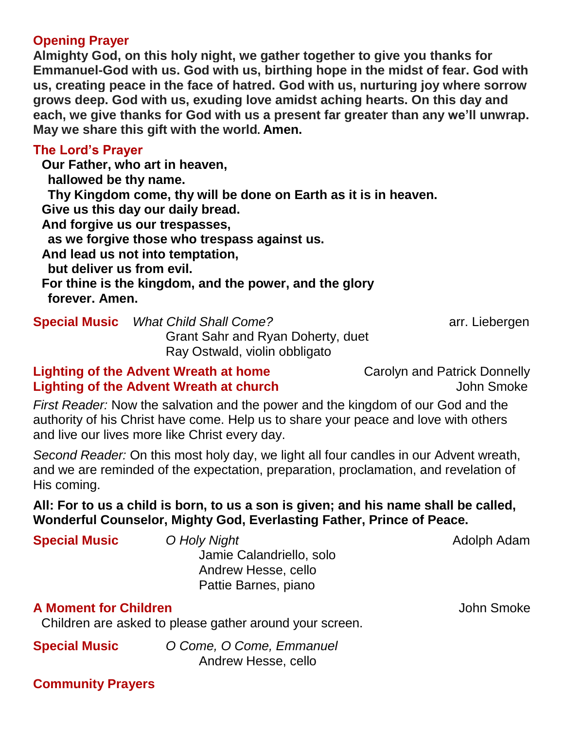#### **Opening Prayer**

**Almighty God, on this holy night, we gather together to give you thanks for Emmanuel-God with us. God with us, birthing hope in the midst of fear. God with us, creating peace in the face of hatred. God with us, nurturing joy where sorrow grows deep. God with us, exuding love amidst aching hearts. On this day and each, we give thanks for God with us a present far greater than any we'll unwrap. May we share this gift with the world. Amen.**

#### **The Lord's Prayer**

**Our Father, who art in heaven, hallowed be thy name. Thy Kingdom come, thy will be done on Earth as it is in heaven. Give us this day our daily bread. And forgive us our trespasses,**

**as we forgive those who trespass against us.**

**And lead us not into temptation,**

**but deliver us from evil.** 

**For thine is the kingdom, and the power, and the glory forever. Amen.**

**Special Music** *What Child Shall Come?* **arr. Liebergen** Grant Sahr and Ryan Doherty, duet Ray Ostwald, violin obbligato

# **Lighting of the Advent Wreath at home** Carolyn and Patrick Donnelly **Lighting of the Advent Wreath at church** John Smoke

*First Reader:* Now the salvation and the power and the kingdom of our God and the authority of his Christ have come. Help us to share your peace and love with others and live our lives more like Christ every day.

*Second Reader:* On this most holy day, we light all four candles in our Advent wreath, and we are reminded of the expectation, preparation, proclamation, and revelation of His coming.

# **All: For to us a child is born, to us a son is given; and his name shall be called, Wonderful Counselor, Mighty God, Everlasting Father, Prince of Peace.**

| <b>Special Music</b>         | O Holy Night             | Adolph Adam |
|------------------------------|--------------------------|-------------|
|                              | Jamie Calandriello, solo |             |
|                              | Andrew Hesse, cello      |             |
|                              | Pattie Barnes, piano     |             |
| <b>A Moment for Children</b> |                          | John Smoke  |

Children are asked to please gather around your screen.

**Special Music** *O Come, O Come, Emmanuel* Andrew Hesse, cello

# **Community Prayers**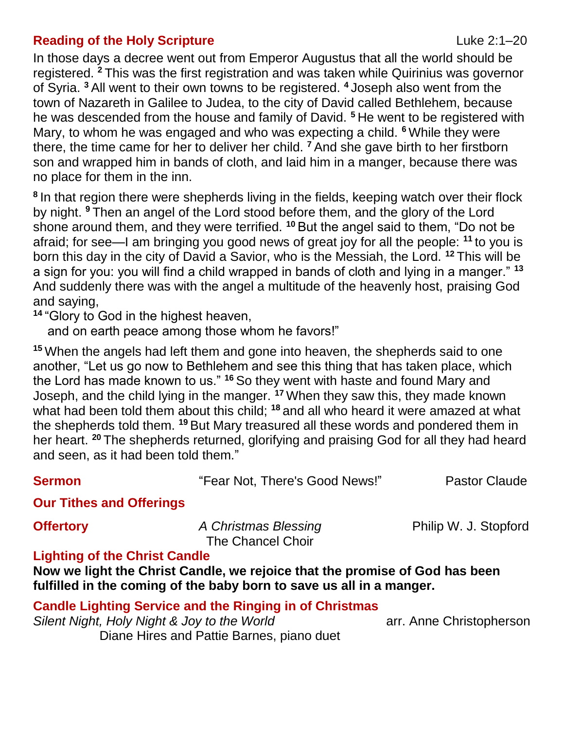### **Reading of the Holy Scripture** Luke 2:1–20

In those days a decree went out from Emperor Augustus that all the world should be registered. **<sup>2</sup>**This was the first registration and was taken while Quirinius was governor of Syria. **<sup>3</sup>**All went to their own towns to be registered. **<sup>4</sup>** Joseph also went from the town of Nazareth in Galilee to Judea, to the city of David called Bethlehem, because he was descended from the house and family of David. **<sup>5</sup>**He went to be registered with Mary, to whom he was engaged and who was expecting a child. **<sup>6</sup>**While they were there, the time came for her to deliver her child. **<sup>7</sup>**And she gave birth to her firstborn son and wrapped him in bands of cloth, and laid him in a manger, because there was no place for them in the inn.

**<sup>8</sup>**In that region there were shepherds living in the fields, keeping watch over their flock by night. **<sup>9</sup>**Then an angel of the Lord stood before them, and the glory of the Lord shone around them, and they were terrified. **<sup>10</sup>**But the angel said to them, "Do not be afraid; for see—I am bringing you good news of great joy for all the people: **<sup>11</sup>**to you is born this day in the city of David a Savior, who is the Messiah, the Lord. **<sup>12</sup>**This will be a sign for you: you will find a child wrapped in bands of cloth and lying in a manger." **<sup>13</sup>** And suddenly there was with the angel a multitude of the heavenly host, praising God and saying,

**<sup>14</sup>**"Glory to God in the highest heaven,

and on earth peace among those whom he favors!"

**<sup>15</sup>**When the angels had left them and gone into heaven, the shepherds said to one another, "Let us go now to Bethlehem and see this thing that has taken place, which the Lord has made known to us." **<sup>16</sup>**So they went with haste and found Mary and Joseph, and the child lying in the manger. **<sup>17</sup>**When they saw this, they made known what had been told them about this child; **<sup>18</sup>**and all who heard it were amazed at what the shepherds told them. **<sup>19</sup>**But Mary treasured all these words and pondered them in her heart. **<sup>20</sup>**The shepherds returned, glorifying and praising God for all they had heard and seen, as it had been told them."

**Sermon** "Fear Not, There's Good News!" Pastor Claude

**Our Tithes and Offerings**

**Offertory** *A* **Christmas Blessing Philip W. J. Stopford** The Chancel Choir

### **Lighting of the Christ Candle**

**Now we light the Christ Candle, we rejoice that the promise of God has been fulfilled in the coming of the baby born to save us all in a manger.**

### **Candle Lighting Service and the Ringing in of Christmas**

*Silent Night, Holy Night & Joy to the World* **arr.** Anne Christopherson Diane Hires and Pattie Barnes, piano duet